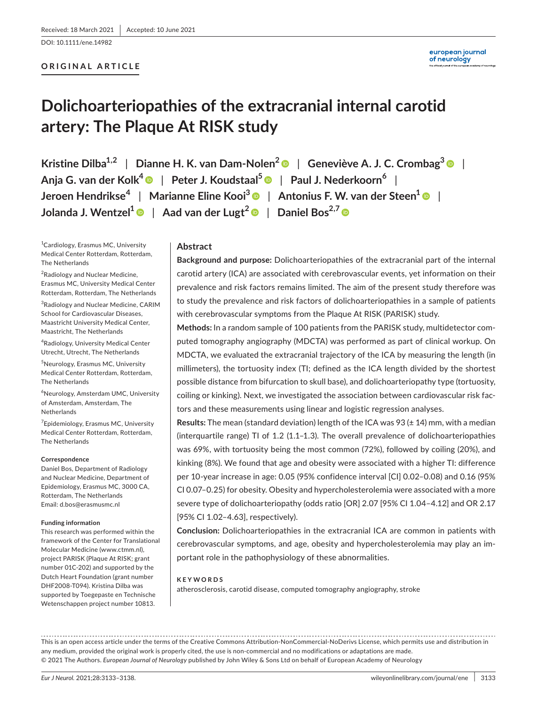DOI: 10.1111/ene.14982

#### **ORIGINAL ARTICLE**

## **Dolichoarteriopathies of the extracranial internal carotid artery: The Plaque At RISK study**

**Kristine Dilba1,2** | **Dianne H. K. van Dam-Nolen[2](https://orcid.org/0000-0002-4527-3876)** | **Geneviève A. J. C. Crombag[3](https://orcid.org/0000-0002-6233-3391)** | **Anja G. van der Kolk[4](https://orcid.org/0000-0002-8267-8848)** | **Peter J. Koudstaal[5](https://orcid.org/0000-0003-4998-9609)** | **Paul J. Nederkoorn<sup>6</sup>** | **Jeroen Hendrikse<sup>4</sup>** | **Marianne Eline Kooi[3](https://orcid.org/0000-0001-7562-5724)** | **Antonius F. W. van der Steen[1](https://orcid.org/0000-0002-8045-7363)** | **Jolanda J. Wentzel[1](https://orcid.org/0000-0001-9893-3404)** | **Aad van der Lugt[2](https://orcid.org/0000-0002-6159-2228)** | **Daniel Bos2,7**

<sup>1</sup> Cardiology, Erasmus MC, University Medical Center Rotterdam, Rotterdam, The Netherlands

<sup>2</sup> Radiology and Nuclear Medicine, Erasmus MC, University Medical Center Rotterdam, Rotterdam, The Netherlands

<sup>3</sup> Radiology and Nuclear Medicine, CARIM School for Cardiovascular Diseases, Maastricht University Medical Center, Maastricht, The Netherlands

4 Radiology, University Medical Center Utrecht, Utrecht, The Netherlands

5 Neurology, Erasmus MC, University Medical Center Rotterdam, Rotterdam, The Netherlands

6 Neurology, Amsterdam UMC, University of Amsterdam, Amsterdam, The Netherlands

<sup>7</sup> Epidemiology, Erasmus MC, University Medical Center Rotterdam, Rotterdam, The Netherlands

#### **Correspondence**

Daniel Bos, Department of Radiology and Nuclear Medicine, Department of Epidemiology, Erasmus MC, 3000 CA, Rotterdam, The Netherlands Email: [d.bos@erasmusmc.nl](mailto:d.bos@erasmusmc.nl)

#### **Funding information**

This research was performed within the framework of the Center for Translational Molecular Medicine [\(www.ctmm.nl\)](http://www.ctmm.nl), project PARISK (Plaque At RISK; grant number 01C-202) and supported by the Dutch Heart Foundation (grant number DHF2008-T094). Kristina Dilba was supported by Toegepaste en Technische Wetenschappen project number 10813.

#### **Abstract**

**Background and purpose:** Dolichoarteriopathies of the extracranial part of the internal carotid artery (ICA) are associated with cerebrovascular events, yet information on their prevalence and risk factors remains limited. The aim of the present study therefore was to study the prevalence and risk factors of dolichoarteriopathies in a sample of patients with cerebrovascular symptoms from the Plaque At RISK (PARISK) study.

**Methods:** In a random sample of 100 patients from the PARISK study, multidetector computed tomography angiography (MDCTA) was performed as part of clinical workup. On MDCTA, we evaluated the extracranial trajectory of the ICA by measuring the length (in millimeters), the tortuosity index (TI; defined as the ICA length divided by the shortest possible distance from bifurcation to skull base), and dolichoarteriopathy type (tortuosity, coiling or kinking). Next, we investigated the association between cardiovascular risk factors and these measurements using linear and logistic regression analyses.

**Results:** The mean (standard deviation) length of the ICA was 93 (± 14) mm, with a median (interquartile range) TI of 1.2 (1.1–1.3). The overall prevalence of dolichoarteriopathies was 69%, with tortuosity being the most common (72%), followed by coiling (20%), and kinking (8%). We found that age and obesity were associated with a higher TI: difference per 10-year increase in age: 0.05 (95% confidence interval [CI] 0.02–0.08) and 0.16 (95% CI 0.07–0.25) for obesity. Obesity and hypercholesterolemia were associated with a more severe type of dolichoarteriopathy (odds ratio [OR] 2.07 [95% CI 1.04–4.12] and OR 2.17 [95% CI 1.02–4.63], respectively).

**Conclusion:** Dolichoarteriopathies in the extracranial ICA are common in patients with cerebrovascular symptoms, and age, obesity and hypercholesterolemia may play an important role in the pathophysiology of these abnormalities.

#### **KEYWORDS**

atherosclerosis, carotid disease, computed tomography angiography, stroke

This is an open access article under the terms of the [Creative Commons Attribution-NonCommercial-NoDerivs](http://creativecommons.org/licenses/by-nc-nd/4.0/) License, which permits use and distribution in any medium, provided the original work is properly cited, the use is non-commercial and no modifications or adaptations are made. © 2021 The Authors. *European Journal of Neurology* published by John Wiley & Sons Ltd on behalf of European Academy of Neurology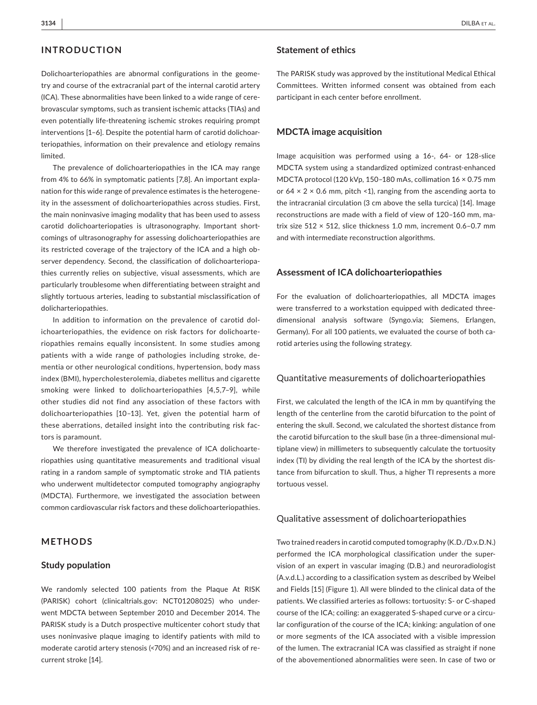#### **INTRODUCTION**

Dolichoarteriopathies are abnormal configurations in the geometry and course of the extracranial part of the internal carotid artery (ICA). These abnormalities have been linked to a wide range of cerebrovascular symptoms, such as transient ischemic attacks (TIAs) and even potentially life-threatening ischemic strokes requiring prompt interventions [1–6]. Despite the potential harm of carotid dolichoarteriopathies, information on their prevalence and etiology remains limited.

The prevalence of dolichoarteriopathies in the ICA may range from 4% to 66% in symptomatic patients [7,8]. An important explanation for this wide range of prevalence estimates is the heterogeneity in the assessment of dolichoarteriopathies across studies. First, the main noninvasive imaging modality that has been used to assess carotid dolichoarteriopaties is ultrasonography. Important shortcomings of ultrasonography for assessing dolichoarteriopathies are its restricted coverage of the trajectory of the ICA and a high observer dependency. Second, the classification of dolichoarteriopathies currently relies on subjective, visual assessments, which are particularly troublesome when differentiating between straight and slightly tortuous arteries, leading to substantial misclassification of dolicharteriopathies.

In addition to information on the prevalence of carotid dolichoarteriopathies, the evidence on risk factors for dolichoarteriopathies remains equally inconsistent. In some studies among patients with a wide range of pathologies including stroke, dementia or other neurological conditions, hypertension, body mass index (BMI), hypercholesterolemia, diabetes mellitus and cigarette smoking were linked to dolichoarteriopathies [4,5,7–9], while other studies did not find any association of these factors with dolichoarteriopathies [10–13]. Yet, given the potential harm of these aberrations, detailed insight into the contributing risk factors is paramount.

We therefore investigated the prevalence of ICA dolichoarteriopathies using quantitative measurements and traditional visual rating in a random sample of symptomatic stroke and TIA patients who underwent multidetector computed tomography angiography (MDCTA). Furthermore, we investigated the association between common cardiovascular risk factors and these dolichoarteriopathies.

#### **METHODS**

#### **Study population**

We randomly selected 100 patients from the Plaque At RISK (PARISK) cohort (clinicaltrials.gov: NCT01208025) who underwent MDCTA between September 2010 and December 2014. The PARISK study is a Dutch prospective multicenter cohort study that uses noninvasive plaque imaging to identify patients with mild to moderate carotid artery stenosis (<70%) and an increased risk of recurrent stroke [14].

#### **Statement of ethics**

The PARISK study was approved by the institutional Medical Ethical Committees. Written informed consent was obtained from each participant in each center before enrollment.

#### **MDCTA image acquisition**

Image acquisition was performed using a 16-, 64- or 128-slice MDCTA system using a standardized optimized contrast-enhanced MDCTA protocol (120 kVp, 150–180 mAs, collimation 16 × 0.75 mm or  $64 \times 2 \times 0.6$  mm, pitch <1), ranging from the ascending aorta to the intracranial circulation (3 cm above the sella turcica) [14]. Image reconstructions are made with a field of view of 120–160 mm, matrix size 512 × 512, slice thickness 1.0 mm, increment 0.6–0.7 mm and with intermediate reconstruction algorithms.

#### **Assessment of ICA dolichoarteriopathies**

For the evaluation of dolichoarteriopathies, all MDCTA images were transferred to a workstation equipped with dedicated threedimensional analysis software (Syngo.via; Siemens, Erlangen, Germany). For all 100 patients, we evaluated the course of both carotid arteries using the following strategy.

#### Quantitative measurements of dolichoarteriopathies

First, we calculated the length of the ICA in mm by quantifying the length of the centerline from the carotid bifurcation to the point of entering the skull. Second, we calculated the shortest distance from the carotid bifurcation to the skull base (in a three-dimensional multiplane view) in millimeters to subsequently calculate the tortuosity index (TI) by dividing the real length of the ICA by the shortest distance from bifurcation to skull. Thus, a higher TI represents a more tortuous vessel.

#### Qualitative assessment of dolichoarteriopathies

Two trained readers in carotid computed tomography (K.D./D.v.D.N.) performed the ICA morphological classification under the supervision of an expert in vascular imaging (D.B.) and neuroradiologist (A.v.d.L.) according to a classification system as described by Weibel and Fields [15] (Figure 1). All were blinded to the clinical data of the patients. We classified arteries as follows: tortuosity: S- or C-shaped course of the ICA; coiling: an exaggerated S-shaped curve or a circular configuration of the course of the ICA; kinking: angulation of one or more segments of the ICA associated with a visible impression of the lumen. The extracranial ICA was classified as straight if none of the abovementioned abnormalities were seen. In case of two or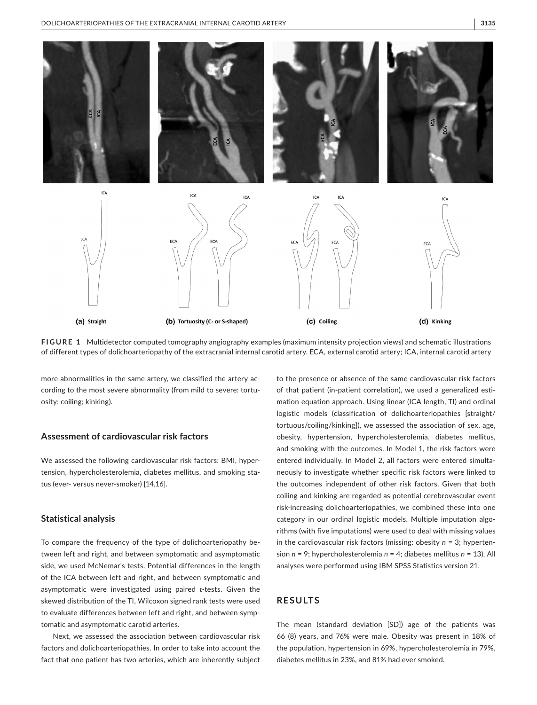

**FIGURE 1** Multidetector computed tomography angiography examples (maximum intensity projection views) and schematic illustrations of different types of dolichoarteriopathy of the extracranial internal carotid artery. ECA, external carotid artery; ICA, internal carotid artery

more abnormalities in the same artery, we classified the artery according to the most severe abnormality (from mild to severe: tortuosity; coiling; kinking).

#### **Assessment of cardiovascular risk factors**

We assessed the following cardiovascular risk factors: BMI, hypertension, hypercholesterolemia, diabetes mellitus, and smoking status (ever- versus never-smoker) [14,16].

#### **Statistical analysis**

To compare the frequency of the type of dolichoarteriopathy between left and right, and between symptomatic and asymptomatic side, we used McNemar's tests. Potential differences in the length of the ICA between left and right, and between symptomatic and asymptomatic were investigated using paired *t*-tests. Given the skewed distribution of the TI, Wilcoxon signed rank tests were used to evaluate differences between left and right, and between symptomatic and asymptomatic carotid arteries.

Next, we assessed the association between cardiovascular risk factors and dolichoarteriopathies. In order to take into account the fact that one patient has two arteries, which are inherently subject

to the presence or absence of the same cardiovascular risk factors of that patient (in-patient correlation), we used a generalized estimation equation approach. Using linear (ICA length, TI) and ordinal logistic models (classification of dolichoarteriopathies [straight/ tortuous/coiling/kinking]), we assessed the association of sex, age, obesity, hypertension, hypercholesterolemia, diabetes mellitus, and smoking with the outcomes. In Model 1, the risk factors were entered individually. In Model 2, all factors were entered simultaneously to investigate whether specific risk factors were linked to the outcomes independent of other risk factors. Given that both coiling and kinking are regarded as potential cerebrovascular event risk-increasing dolichoarteriopathies, we combined these into one category in our ordinal logistic models. Multiple imputation algorithms (with five imputations) were used to deal with missing values in the cardiovascular risk factors (missing: obesity *n* = 3; hypertension *n* = 9; hypercholesterolemia *n* = 4; diabetes mellitus *n* = 13). All analyses were performed using IBM SPSS Statistics version 21.

#### **RESULTS**

The mean (standard deviation [SD]) age of the patients was 66 (8) years, and 76% were male. Obesity was present in 18% of the population, hypertension in 69%, hypercholesterolemia in 79%, diabetes mellitus in 23%, and 81% had ever smoked.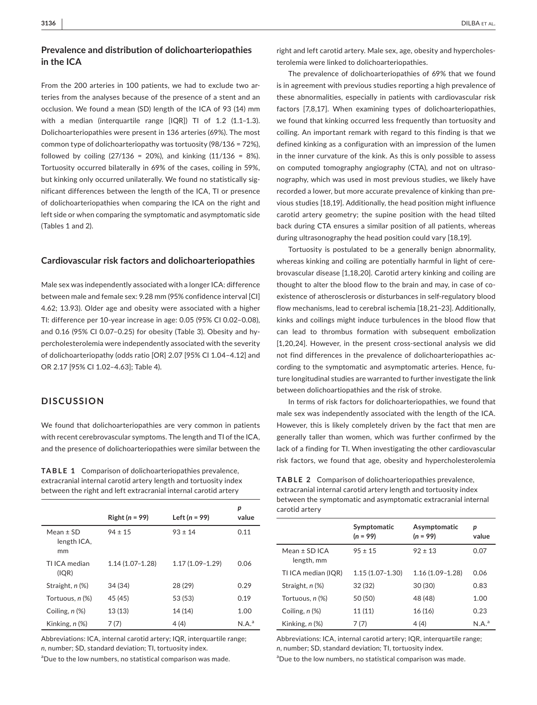#### **Prevalence and distribution of dolichoarteriopathies in the ICA**

From the 200 arteries in 100 patients, we had to exclude two arteries from the analyses because of the presence of a stent and an occlusion. We found a mean (SD) length of the ICA of 93 (14) mm with a median (interquartile range [IQR]) TI of 1.2 (1.1–1.3). Dolichoarteriopathies were present in 136 arteries (69%). The most common type of dolichoarteriopathy was tortuosity (98/136 = 72%), followed by coiling  $(27/136 = 20\%)$ , and kinking  $(11/136 = 8\%)$ . Tortuosity occurred bilaterally in 69% of the cases, coiling in 59%, but kinking only occurred unilaterally. We found no statistically significant differences between the length of the ICA, TI or presence of dolichoarteriopathies when comparing the ICA on the right and left side or when comparing the symptomatic and asymptomatic side (Tables 1 and 2).

#### **Cardiovascular risk factors and dolichoarteriopathies**

Male sex was independently associated with a longer ICA: difference between male and female sex: 9.28 mm (95% confidence interval [CI] 4.62; 13.93). Older age and obesity were associated with a higher TI: difference per 10-year increase in age: 0.05 (95% CI 0.02–0.08), and 0.16 (95% CI 0.07–0.25) for obesity (Table 3). Obesity and hypercholesterolemia were independently associated with the severity of dolichoarteriopathy (odds ratio [OR] 2.07 [95% CI 1.04–4.12] and OR 2.17 [95% CI 1.02–4.63]; Table 4).

#### **DISCUSSION**

We found that dolichoarteriopathies are very common in patients with recent cerebrovascular symptoms. The length and TI of the ICA, and the presence of dolichoarteriopathies were similar between the

**TABLE 1** Comparison of dolichoarteriopathies prevalence, extracranial internal carotid artery length and tortuosity index between the right and left extracranial internal carotid artery

|                                    | Right $(n = 99)$  | Left ( $n = 99$ )   | р<br>value |
|------------------------------------|-------------------|---------------------|------------|
| $Mean \pm SD$<br>length ICA,<br>mm | $94 \pm 15$       | $93 \pm 14$         | 0.11       |
| TI ICA median<br>(IQR)             | $1.14(1.07-1.28)$ | $1.17(1.09 - 1.29)$ | 0.06       |
| Straight, n (%)                    | 34 (34)           | 28 (29)             | 0.29       |
| Tortuous, n (%)                    | 45 (45)           | 53 (53)             | 0.19       |
| Coiling, $n$ $(\%)$                | 13(13)            | 14 (14)             | 1.00       |
| Kinking, $n$ $%$                   | 7(7)              | 4 (4)               | $N.A.^a$   |

Abbreviations: ICA, internal carotid artery; IQR, interquartile range; *n*, number; SD, standard deviation; TI, tortuosity index.

<sup>a</sup>Due to the low numbers, no statistical comparison was made.

right and left carotid artery. Male sex, age, obesity and hypercholesterolemia were linked to dolichoarteriopathies.

The prevalence of dolichoarteriopathies of 69% that we found is in agreement with previous studies reporting a high prevalence of these abnormalities, especially in patients with cardiovascular risk factors [7,8,17]. When examining types of dolichoarteriopathies, we found that kinking occurred less frequently than tortuosity and coiling. An important remark with regard to this finding is that we defined kinking as a configuration with an impression of the lumen in the inner curvature of the kink. As this is only possible to assess on computed tomography angiography (CTA), and not on ultrasonography, which was used in most previous studies, we likely have recorded a lower, but more accurate prevalence of kinking than previous studies [18,19]. Additionally, the head position might influence carotid artery geometry; the supine position with the head tilted back during CTA ensures a similar position of all patients, whereas during ultrasonography the head position could vary [18,19].

Tortuosity is postulated to be a generally benign abnormality, whereas kinking and coiling are potentially harmful in light of cerebrovascular disease [1,18,20]. Carotid artery kinking and coiling are thought to alter the blood flow to the brain and may, in case of coexistence of atherosclerosis or disturbances in self-regulatory blood flow mechanisms, lead to cerebral ischemia [18,21–23]. Additionally, kinks and coilings might induce turbulences in the blood flow that can lead to thrombus formation with subsequent embolization [1,20,24]. However, in the present cross-sectional analysis we did not find differences in the prevalence of dolichoarteriopathies according to the symptomatic and asymptomatic arteries. Hence, future longitudinal studies are warranted to further investigate the link between dolichoartiopathies and the risk of stroke.

In terms of risk factors for dolichoarteriopathies, we found that male sex was independently associated with the length of the ICA. However, this is likely completely driven by the fact that men are generally taller than women, which was further confirmed by the lack of a finding for TI. When investigating the other cardiovascular risk factors, we found that age, obesity and hypercholesterolemia

**TABLE 2** Comparison of dolichoarteriopathies prevalence, extracranial internal carotid artery length and tortuosity index between the symptomatic and asymptomatic extracranial internal carotid artery

|                                 | Symptomatic<br>$(n = 99)$ | Asymptomatic<br>$(n = 99)$ | p<br>value        |
|---------------------------------|---------------------------|----------------------------|-------------------|
| Mean $\pm$ SD ICA<br>length, mm | $95 \pm 15$               | $92 + 13$                  | 0.07              |
| TI ICA median (IQR)             | $1.15(1.07-1.30)$         | $1.16(1.09 - 1.28)$        | 0.06              |
| Straight, n (%)                 | 32(32)                    | 30 (30)                    | 0.83              |
| Tortuous, n (%)                 | 50 (50)                   | 48 (48)                    | 1.00              |
| Coiling, $n$ $(\%)$             | 11(11)                    | 16 (16)                    | 0.23              |
| Kinking, n (%)                  | 7 (7)                     | 4(4)                       | N.A. <sup>a</sup> |

Abbreviations: ICA, internal carotid artery; IQR, interquartile range; *n*, number; SD, standard deviation; TI, tortuosity index.

<sup>a</sup>Due to the low numbers, no statistical comparison was made.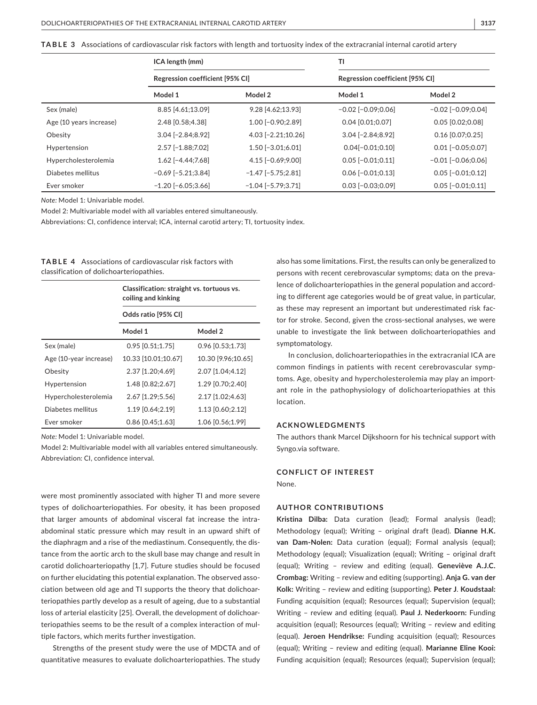| ${\sf TABLE}$ ${\sf 3}$ $\;$ Associations of cardiovascular risk factors with length and tortuosity index of the extracranial internal carotid artery |  |
|-------------------------------------------------------------------------------------------------------------------------------------------------------|--|
|-------------------------------------------------------------------------------------------------------------------------------------------------------|--|

|                         | ICA length (mm)<br>Regression coefficient [95% CI] |                           | <b>TI</b>                       |                          |
|-------------------------|----------------------------------------------------|---------------------------|---------------------------------|--------------------------|
|                         |                                                    |                           | Regression coefficient [95% CI] |                          |
|                         | Model 1                                            | Model 2                   | Model 1                         | Model 2                  |
| Sex (male)              | 8.85 [4.61;13.09]                                  | $9.28$ [4.62;13.93]       | $-0.02$ [ $-0.09;0.06$ ]        | $-0.02$ [ $-0.09;0.04$ ] |
| Age (10 years increase) | 2.48 [0.58;4.38]                                   | $1.00$ [-0.90;2.89]       | $0.04$ [0.01;0.07]              | $0.05$ [0.02;0.08]       |
| Obesity                 | $3.04$ [-2.84;8.92]                                | 4.03 [-2.21;10.26]        | $3.04$ [-2.84;8.92]             | $0.16$ [0.07;0.25]       |
| Hypertension            | 2.57 [-1.88;7.02]                                  | $1.50$ [-3.01;6.01]       | $0.04[-0.01;0.10]$              | $0.01$ [-0.05;0.07]      |
| Hypercholesterolemia    | $1.62$ [-4.44;7.68]                                | $4.15[-0.69;9.00]$        | $0.05$ [-0.01;0.11]             | $-0.01$ $[-0.06;0.06]$   |
| Diabetes mellitus       | $-0.69$ [ $-5.21$ ; 3.84]                          | $-1.47$ [ $-5.75;2.81$ ]  | $0.06$ [-0.01;0.13]             | $0.05$ [-0.01;0.12]      |
| Ever smoker             | $-1.20$ $[-6.05;3.66]$                             | $-1.04$ [ $-5.79$ ; 3.71] | $0.03$ [-0.03;0.09]             | $0.05$ $[-0.01;0.11]$    |

*Note:* Model 1: Univariable model.

Model 2: Multivariable model with all variables entered simultaneously.

Abbreviations: CI, confidence interval; ICA, internal carotid artery; TI, tortuosity index.

**TABLE 4** Associations of cardiovascular risk factors with classification of dolichoarteriopathies.

|                        | Classification: straight vs. tortuous vs.<br>coiling and kinking<br>Odds ratio [95% CI] |                    |
|------------------------|-----------------------------------------------------------------------------------------|--------------------|
|                        |                                                                                         |                    |
|                        | Model 1                                                                                 | Model 2            |
| Sex (male)             | $0.95$ [0.51;1.75]                                                                      | $0.96$ [0.53;1.73] |
| Age (10-year increase) | 10.33 [10.01:10.67]                                                                     | 10.30 [9.96;10.65] |
| Obesity                | 2.37 [1.20:4.69]                                                                        | 2.07 [1.04:4.12]   |
| Hypertension           | 1.48 [0.82:2.67]                                                                        | 1.29 [0.70:2.40]   |
| Hypercholesterolemia   | 2.67 [1.29;5.56]                                                                        | 2.17 [1.02;4.63]   |
| Diabetes mellitus      | 1.19 [0.64;2.19]                                                                        | 1.13 [0.60;2.12]   |
| Ever smoker            | $0.86$ [0.45:1.63]                                                                      | 1.06 [0.56:1.99]   |

*Note:* Model 1: Univariable model.

Model 2: Multivariable model with all variables entered simultaneously. Abbreviation: CI, confidence interval.

were most prominently associated with higher TI and more severe types of dolichoarteriopathies. For obesity, it has been proposed that larger amounts of abdominal visceral fat increase the intraabdominal static pressure which may result in an upward shift of the diaphragm and a rise of the mediastinum. Consequently, the distance from the aortic arch to the skull base may change and result in carotid dolichoarteriopathy [1,7]. Future studies should be focused on further elucidating this potential explanation. The observed association between old age and TI supports the theory that dolichoarteriopathies partly develop as a result of ageing, due to a substantial loss of arterial elasticity [25]. Overall, the development of dolichoarteriopathies seems to be the result of a complex interaction of multiple factors, which merits further investigation.

Strengths of the present study were the use of MDCTA and of quantitative measures to evaluate dolichoarteriopathies. The study

also has some limitations. First, the results can only be generalized to persons with recent cerebrovascular symptoms; data on the prevalence of dolichoarteriopathies in the general population and according to different age categories would be of great value, in particular, as these may represent an important but underestimated risk factor for stroke. Second, given the cross-sectional analyses, we were unable to investigate the link between dolichoarteriopathies and symptomatology.

In conclusion, dolichoarteriopathies in the extracranial ICA are common findings in patients with recent cerebrovascular symptoms. Age, obesity and hypercholesterolemia may play an important role in the pathophysiology of dolichoarteriopathies at this location.

#### **ACKNOWLEDGMENTS**

The authors thank Marcel Dijkshoorn for his technical support with Syngo.via software.

#### **CONFLICT OF INTEREST**

None.

#### **AUTHOR CONTRIBUTIONS**

**Kristina Dilba:** Data curation (lead); Formal analysis (lead); Methodology (equal); Writing – original draft (lead). **Dianne H.K. van Dam-Nolen:** Data curation (equal); Formal analysis (equal); Methodology (equal); Visualization (equal); Writing – original draft (equal); Writing – review and editing (equal). **Geneviève A.J.C. Crombag:** Writing – review and editing (supporting). **Anja G. van der Kolk:** Writing – review and editing (supporting). **Peter J**. **Koudstaal:** Funding acquisition (equal); Resources (equal); Supervision (equal); Writing – review and editing (equal). **Paul J. Nederkoorn:** Funding acquisition (equal); Resources (equal); Writing – review and editing (equal). **Jeroen Hendrikse:** Funding acquisition (equal); Resources (equal); Writing – review and editing (equal). **Marianne Eline Kooi:** Funding acquisition (equal); Resources (equal); Supervision (equal);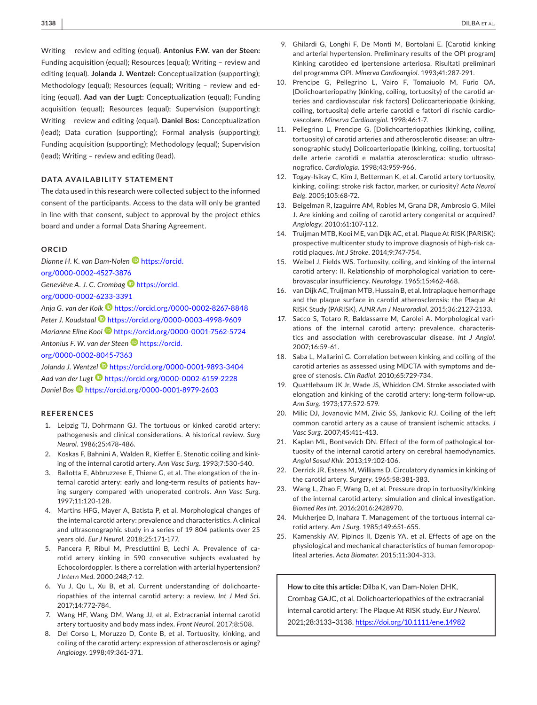Writing – review and editing (equal). **Antonius F.W. van der Steen:** Funding acquisition (equal); Resources (equal); Writing – review and editing (equal). **Jolanda J. Wentzel:** Conceptualization (supporting); Methodology (equal); Resources (equal); Writing – review and editing (equal). **Aad van der Lugt:** Conceptualization (equal); Funding acquisition (equal); Resources (equal); Supervision (supporting); Writing – review and editing (equal). **Daniel Bos:** Conceptualization (lead); Data curation (supporting); Formal analysis (supporting); Funding acquisition (supporting); Methodology (equal); Supervision (lead); Writing – review and editing (lead).

#### **DATA AVAILABILITY STATEMENT**

The data used in this research were collected subject to the informed consent of the participants. Access to the data will only be granted in line with that consent, subject to approval by the project ethics board and under a formal Data Sharing Agreement.

#### **ORCID**

*Dianne H. K. van Dam-Nolen* [https://orcid.](https://orcid.org/0000-0002-4527-3876) [org/0000-0002-4527-3876](https://orcid.org/0000-0002-4527-3876)

*Geneviève A. J. C. Crombag* [https://orcid.](https://orcid.org/0000-0002-6233-3391) [org/0000-0002-6233-3391](https://orcid.org/0000-0002-6233-3391)

*Anja G. van der Kol[k](https://orcid.org/0000-0002-8267-8848)* <https://orcid.org/0000-0002-8267-8848> *Peter J. Koudstaal* <https://orcid.org/0000-0003-4998-9609> *Marianne Eline Kooi* **<https://orcid.org/0000-0001-7562-5724>** *Antonius F. W. van der Steen* [https://orcid.](https://orcid.org/0000-0002-8045-7363)

[org/0000-0002-8045-7363](https://orcid.org/0000-0002-8045-7363)

*Jolanda J. Wentzel* <https://orcid.org/0000-0001-9893-3404> *Aad van der Lug[t](https://orcid.org/0000-0002-6159-2228)* <https://orcid.org/0000-0002-6159-2228> *Daniel Bos* <https://orcid.org/0000-0001-8979-2603>

#### **REFERENCES**

- 1. Leipzig TJ, Dohrmann GJ. The tortuous or kinked carotid artery: pathogenesis and clinical considerations. A historical review. *Surg Neurol*. 1986;25:478-486.
- 2. Koskas F, Bahnini A, Walden R, Kieffer E. Stenotic coiling and kinking of the internal carotid artery. *Ann Vasc Surg*. 1993;7:530-540.
- 3. Ballotta E, Abbruzzese E, Thiene G, et al. The elongation of the internal carotid artery: early and long-term results of patients having surgery compared with unoperated controls. *Ann Vasc Surg*. 1997;11:120-128.
- 4. Martins HFG, Mayer A, Batista P, et al. Morphological changes of the internal carotid artery: prevalence and characteristics. A clinical and ultrasonographic study in a series of 19 804 patients over 25 years old. *Eur J Neurol*. 2018;25:171-177.
- 5. Pancera P, Ribul M, Presciuttini B, Lechi A. Prevalence of carotid artery kinking in 590 consecutive subjects evaluated by Echocolordoppler. Is there a correlation with arterial hypertension? *J Intern Med*. 2000;248;7-12.
- 6. Yu J, Qu L, Xu B, et al. Current understanding of dolichoarteriopathies of the internal carotid artery: a review. *Int J Med Sci*. 2017;14:772-784.
- 7. Wang HF, Wang DM, Wang JJ, et al. Extracranial internal carotid artery tortuosity and body mass index. *Front Neurol*. 2017;8:508.
- 8. Del Corso L, Moruzzo D, Conte B, et al. Tortuosity, kinking, and coiling of the carotid artery: expression of atherosclerosis or aging? *Angiology*. 1998;49:361-371.
- 9. Ghilardi G, Longhi F, De Monti M, Bortolani E. [Carotid kinking and arterial hypertension. Preliminary results of the OPI program] Kinking carotideo ed ipertensione arteriosa. Risultati preliminari del programma OPI. *Minerva Cardioangiol*. 1993;41:287-291.
- 10. Prencipe G, Pellegrino L, Vairo F, Tomaiuolo M, Furio OA. [Dolichoarteriopathy (kinking, coiling, tortuosity) of the carotid arteries and cardiovascular risk factors] Dolicoarteriopatie (kinking, coiling, tortuosita) delle arterie carotidi e fattori di rischio cardiovascolare. *Minerva Cardioangiol*. 1998;46:1-7.
- 11. Pellegrino L, Prencipe G. [Dolichoarteriopathies (kinking, coiling, tortuosity) of carotid arteries and atherosclerotic disease: an ultrasonographic study] Dolicoarteriopatie (kinking, coiling, tortuosita) delle arterie carotidi e malattia aterosclerotica: studio ultrasonografico. *Cardiologia*. 1998;43:959-966.
- 12. Togay-Isikay C, Kim J, Betterman K, et al. Carotid artery tortuosity, kinking, coiling: stroke risk factor, marker, or curiosity? *Acta Neurol Belg*. 2005;105:68-72.
- 13. Beigelman R, Izaguirre AM, Robles M, Grana DR, Ambrosio G, Milei J. Are kinking and coiling of carotid artery congenital or acquired? *Angiology*. 2010;61:107-112.
- 14. Truijman MTB, Kooi ME, van Dijk AC, et al. Plaque At RISK (PARISK): prospective multicenter study to improve diagnosis of high-risk carotid plaques. *Int J Stroke*. 2014;9:747-754.
- 15. Weibel J, Fields WS. Tortuosity, coiling, and kinking of the internal carotid artery: II. Relationship of morphological variation to cerebrovascular insufficiency. *Neurology*. 1965;15:462-468.
- 16. van Dijk AC, Truijman MTB, Hussain B, et al. Intraplaque hemorrhage and the plaque surface in carotid atherosclerosis: the Plaque At RISK Study (PARISK). *AJNR Am J Neuroradiol*. 2015;36:2127-2133.
- 17. Sacco S, Totaro R, Baldassarre M, Carolei A. Morphological variations of the internal carotid artery: prevalence, characteristics and association with cerebrovascular disease. *Int J Angiol*. 2007;16:59-61.
- 18. Saba L, Mallarini G. Correlation between kinking and coiling of the carotid arteries as assessed using MDCTA with symptoms and degree of stenosis. *Clin Radiol*. 2010;65:729-734.
- 19. Quattlebaum JK Jr, Wade JS, Whiddon CM. Stroke associated with elongation and kinking of the carotid artery: long-term follow-up. *Ann Surg*. 1973;177:572-579.
- 20. Milic DJ, Jovanovic MM, Zivic SS, Jankovic RJ. Coiling of the left common carotid artery as a cause of transient ischemic attacks. *J Vasc Surg*. 2007;45:411-413.
- 21. Kaplan ML, Bontsevich DN. Effect of the form of pathological tortuosity of the internal carotid artery on cerebral haemodynamics. *Angiol Sosud Khir*. 2013;19:102-106.
- 22. Derrick JR, Estess M, Williams D. Circulatory dynamics in kinking of the carotid artery. *Surgery*. 1965;58:381-383.
- 23. Wang L, Zhao F, Wang D, et al. Pressure drop in tortuosity/kinking of the internal carotid artery: simulation and clinical investigation. *Biomed Res Int*. 2016;2016:2428970.
- 24. Mukherjee D, Inahara T. Management of the tortuous internal carotid artery. *Am J Surg*. 1985;149:651-655.
- 25. Kamenskiy AV, Pipinos II, Dzenis YA, et al. Effects of age on the physiological and mechanical characteristics of human femoropopliteal arteries. *Acta Biomater*. 2015;11:304-313.

#### **How to cite this article:** Dilba K, van Dam-Nolen DHK,

Crombag GAJC, et al. Dolichoarteriopathies of the extracranial internal carotid artery: The Plaque At RISK study. *Eur J Neurol*. 2021;28:3133–3138. <https://doi.org/10.1111/ene.14982>